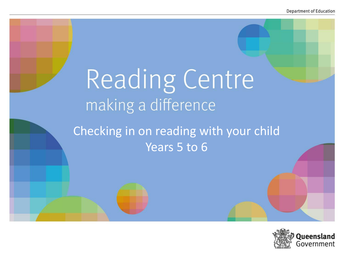# Reading Centre making a difference

## Checking in on reading with your child Years 5 to 6

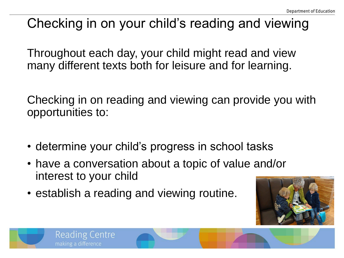# Checking in on your child's reading and viewing

Throughout each day, your child might read and view many different texts both for leisure and for learning.

Checking in on reading and viewing can provide you with opportunities to:

- determine your child's progress in school tasks
- have a conversation about a topic of value and/or interest to your child
- establish a reading and viewing routine.

Reading Centre

making a difference

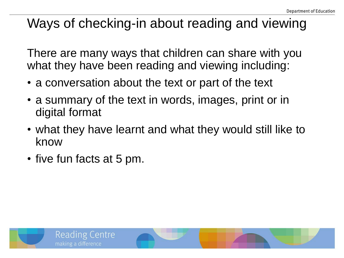# Ways of checking-in about reading and viewing

There are many ways that children can share with you what they have been reading and viewing including:

- a conversation about the text or part of the text
- a summary of the text in words, images, print or in digital format
- what they have learnt and what they would still like to know
- five fun facts at 5 pm.

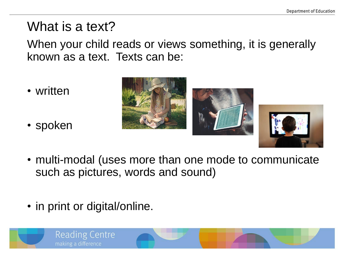### What is a text?

When your child reads or views something, it is generally known as a text. Texts can be:

- written
- spoken





- multi-modal (uses more than one mode to communicate such as pictures, words and sound)
- in print or digital/online.

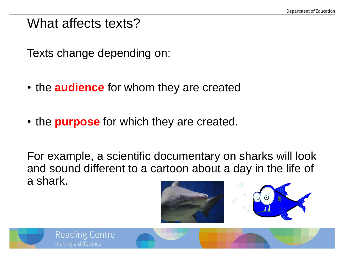#### What affects texts?

Texts change depending on:

- the **audience** for whom they are created
- the **purpose** for which they are created.

For example, a scientific documentary on sharks will look and sound different to a cartoon about a day in the life of a shark.





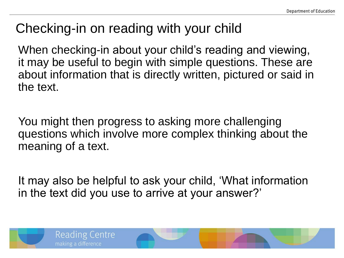## Checking-in on reading with your child

When checking-in about your child's reading and viewing, it may be useful to begin with simple questions. These are about information that is directly written, pictured or said in the text.

You might then progress to asking more challenging questions which involve more complex thinking about the meaning of a text.

It may also be helpful to ask your child, 'What information in the text did you use to arrive at your answer?'

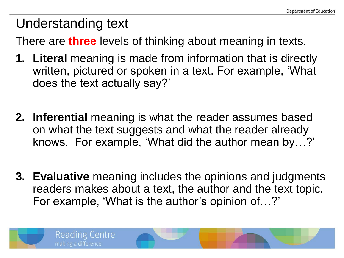# Understanding text

There are **three** levels of thinking about meaning in texts.

- **1. Literal** meaning is made from information that is directly written, pictured or spoken in a text. For example, 'What does the text actually say?'
- **2. Inferential** meaning is what the reader assumes based on what the text suggests and what the reader already knows. For example, 'What did the author mean by…?'
- **3. Evaluative** meaning includes the opinions and judgments readers makes about a text, the author and the text topic. For example, 'What is the author's opinion of…?'

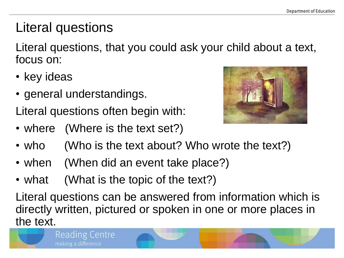# Literal questions

Literal questions, that you could ask your child about a text, focus on:

- key ideas
- general understandings.

**Reading Centre** 

making a difference

Literal questions often begin with:

• where (Where is the text set?)



- who (Who is the text about? Who wrote the text?)
- when (When did an event take place?)
- what (What is the topic of the text?)

Literal questions can be answered from information which is directly written, pictured or spoken in one or more places in the text.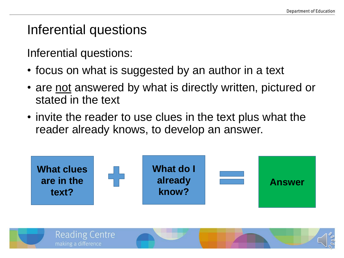#### Inferential questions

Inferential questions:

- focus on what is suggested by an author in a text
- are not answered by what is directly written, pictured or stated in the text
- invite the reader to use clues in the text plus what the reader already knows, to develop an answer.



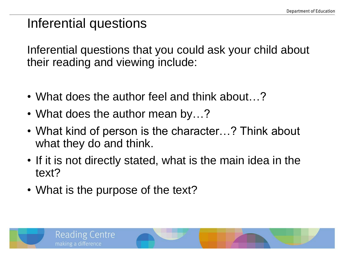### Inferential questions

Inferential questions that you could ask your child about their reading and viewing include:

- What does the author feel and think about…?
- What does the author mean by...?
- What kind of person is the character...? Think about what they do and think.
- If it is not directly stated, what is the main idea in the text?
- What is the purpose of the text?

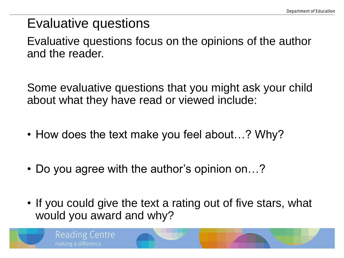#### Evaluative questions

Evaluative questions focus on the opinions of the author and the reader.

Some evaluative questions that you might ask your child about what they have read or viewed include:

- How does the text make you feel about…? Why?
- Do you agree with the author's opinion on...?
- If you could give the text a rating out of five stars, what would you award and why?